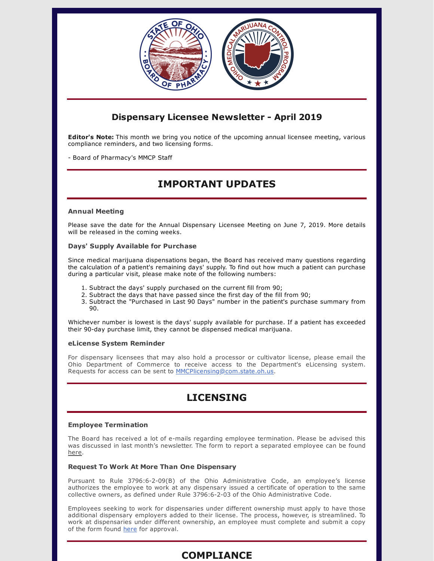

# **Dispensary Licensee Newsletter - April 2019**

**Editor's Note:** This month we bring you notice of the upcoming annual licensee meeting, various compliance reminders, and two licensing forms.

- Board of Pharmacy's MMCP Staff

# **IMPORTANT UPDATES**

## **Annual Meeting**

Please save the date for the Annual Dispensary Licensee Meeting on June 7, 2019. More details will be released in the coming weeks.

## **Days' Supply Available for Purchase**

Since medical marijuana dispensations began, the Board has received many questions regarding the calculation of a patient's remaining days' supply. To find out how much a patient can purchase during a particular visit, please make note of the following numbers:

- 1. Subtract the days' supply purchased on the current fill from 90;
- 2. Subtract the days that have passed since the first day of the fill from 90;
- 3. Subtract the "Purchased in Last 90 Days" number in the patient's purchase summary from 90.

Whichever number is lowest is the days' supply available for purchase. If a patient has exceeded their 90-day purchase limit, they cannot be dispensed medical marijuana.

## **eLicense System Reminder**

For dispensary licensees that may also hold a processor or cultivator license, please email the Ohio Department of Commerce to receive access to the Department's eLicensing system. Requests for access can be sent to [MMCPlicensing@com.state.oh.us](mailto:MMCPlicensing@com.state.oh.us).

# **LICENSING**

## **Employee Termination**

The Board has received a lot of e-mails regarding employee termination. Please be advised this was discussed in last month's newsletter. The form to report a separated employee can be found [here.](https://medicalmarijuana.ohio.gov/Documents/LicenseeResources/Dispensary%20Licensee%20Resources/DISPENSARY%20EMPLOYEE%20LICENSING/Employee%20Separation%20Form.pdf)

## **Request To Work At More Than One Dispensary**

Pursuant to Rule 3796:6-2-09(B) of the Ohio Administrative Code, an employee's license authorizes the employee to work at any dispensary issued a certificate of operation to the same collective owners, as defined under Rule 3796:6-2-03 of the Ohio Administrative Code.

Employees seeking to work for dispensaries under different ownership must apply to have those additional dispensary employers added to their license. The process, however, is streamlined. To work at dispensaries under different ownership, an employee must complete and submit a copy of the form found [here](https://gcc01.safelinks.protection.outlook.com/?url=https%3A%2F%2Fmedicalmarijuana.ohio.gov%2FDocuments%2FLicenseeResources%2FDispensary%2520Licensee%2520Resources%2FDISPENSARY%2520EMPLOYEE%2520LICENSING%2FRequest%2520to%2520Work%2520at%2520More%2520than%2520One%2520Dispensary.pdf&data=02%7C01%7Cerin.reed%40pharmacy.ohio.gov%7C3ac2c719e59c4950911108d6c29a167d%7C50f8fcc494d84f0784eb36ed57c7c8a2%7C0%7C1%7C636910364401772610&sdata=Uwzgoi6ttRdVSSPFN4qBJm6urNlmKc8D5Jfro%2BsJ0wU%3D&reserved=0) for approval.

## **COMPLIANCE**